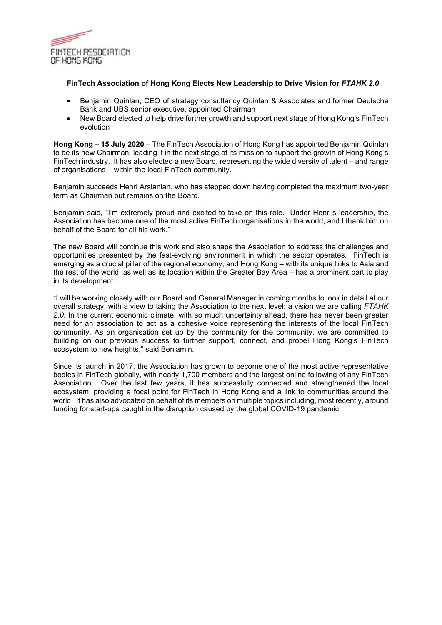

## **FinTech Association of Hong Kong Elects New Leadership to Drive Vision for** *FTAHK 2.0*

- Benjamin Quinlan, CEO of strategy consultancy Quinlan & Associates and former Deutsche Bank and UBS senior executive, appointed Chairman
- New Board elected to help drive further growth and support next stage of Hong Kong's FinTech evolution

**Hong Kong – 15 July 2020** – The FinTech Association of Hong Kong has appointed Benjamin Quinlan to be its new Chairman, leading it in the next stage of its mission to support the growth of Hong Kong's FinTech industry. It has also elected a new Board, representing the wide diversity of talent – and range of organisations – within the local FinTech community.

Benjamin succeeds Henri Arslanian, who has stepped down having completed the maximum two-year term as Chairman but remains on the Board.

Benjamin said, "I'm extremely proud and excited to take on this role. Under Henri's leadership, the Association has become one of the most active FinTech organisations in the world, and I thank him on behalf of the Board for all his work."

The new Board will continue this work and also shape the Association to address the challenges and opportunities presented by the fast-evolving environment in which the sector operates. FinTech is emerging as a crucial pillar of the regional economy, and Hong Kong – with its unique links to Asia and the rest of the world, as well as its location within the Greater Bay Area – has a prominent part to play in its development.

"I will be working closely with our Board and General Manager in coming months to look in detail at our overall strategy, with a view to taking the Association to the next level: a vision we are calling *FTAHK 2.0*. In the current economic climate, with so much uncertainty ahead, there has never been greater need for an association to act as a cohesive voice representing the interests of the local FinTech community. As an organisation set up by the community for the community, we are committed to building on our previous success to further support, connect, and propel Hong Kong's FinTech ecosystem to new heights," said Benjamin.

Since its launch in 2017, the Association has grown to become one of the most active representative bodies in FinTech globally, with nearly 1,700 members and the largest online following of any FinTech Association. Over the last few years, it has successfully connected and strengthened the local ecosystem, providing a focal point for FinTech in Hong Kong and a link to communities around the world. It has also advocated on behalf of its members on multiple topics including, most recently, around funding for start-ups caught in the disruption caused by the global COVID-19 pandemic.